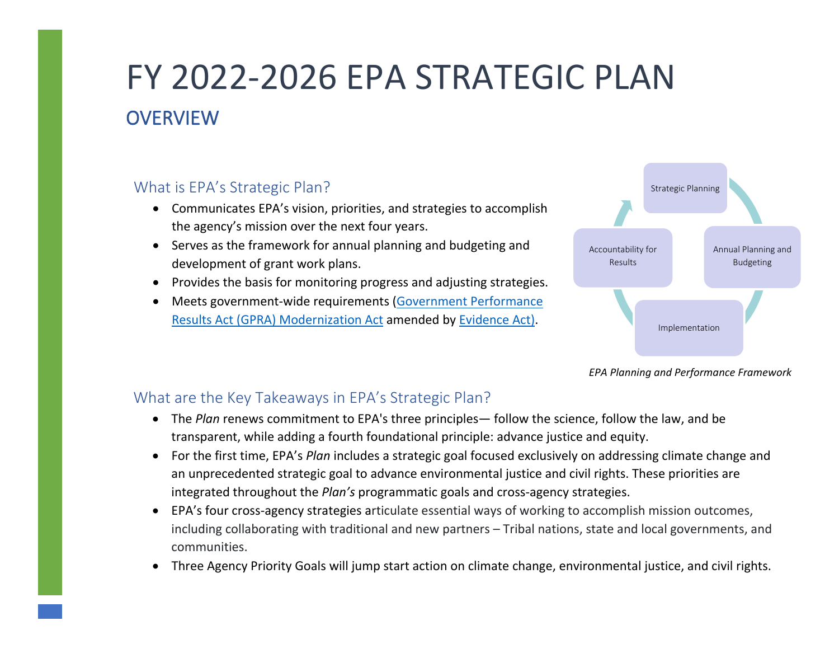# FY 2022-2026 EPA STRATEGIC PLAN **OVERVIEW**

#### What is EPA's Strategic Plan?

- Communicates EPA's vision, priorities, and strategies to accomplish the agency's mission over the next four years.
- Serves as the framework for annual planning and budgeting and development of grant work plans.
- Provides the basis for monitoring progress and adjusting strategies.
- Meets government-wide requirements [\(Government Performance](https://www.congress.gov/111/plaws/publ352/PLAW-111publ352.pdf) [Results Act \(GPRA\) Modernization Act](https://www.congress.gov/111/plaws/publ352/PLAW-111publ352.pdf) amended by [Evidence Act\)](https://www.congress.gov/115/plaws/publ435/PLAW-115publ435.pdf).



*EPA Planning and Performance Framework*

#### What are the Key Takeaways in EPA's Strategic Plan?

- The *Plan* renews commitment to EPA's three principles— follow the science, follow the law, and be transparent, while adding a fourth foundational principle: advance justice and equity.
- For the first time, EPA's *Plan* includes a strategic goal focused exclusively on addressing climate change and an unprecedented strategic goal to advance environmental justice and civil rights. These priorities are integrated throughout the *Plan's* programmatic goals and cross-agency strategies.
- EPA's four cross-agency strategies articulate essential ways of working to accomplish mission outcomes, including collaborating with traditional and new partners – Tribal nations, state and local governments, and communities.
- Three Agency Priority Goals will jump start action on climate change, environmental justice, and civil rights.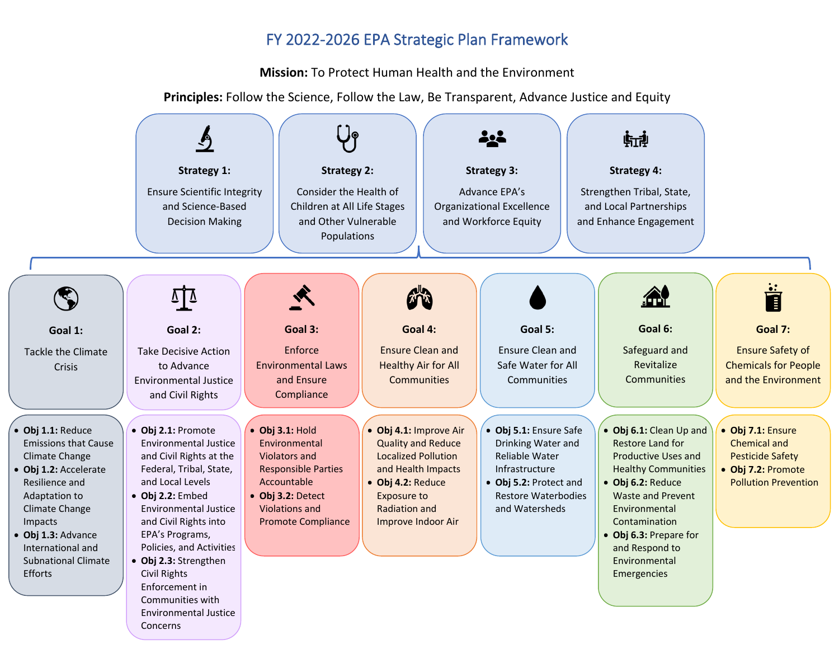### FY 2022-2026 EPA Strategic Plan Framework

**Mission:** To Protect Human Health and the Environment

**Principles:** Follow the Science, Follow the Law, Be Transparent, Advance Justice and Equity

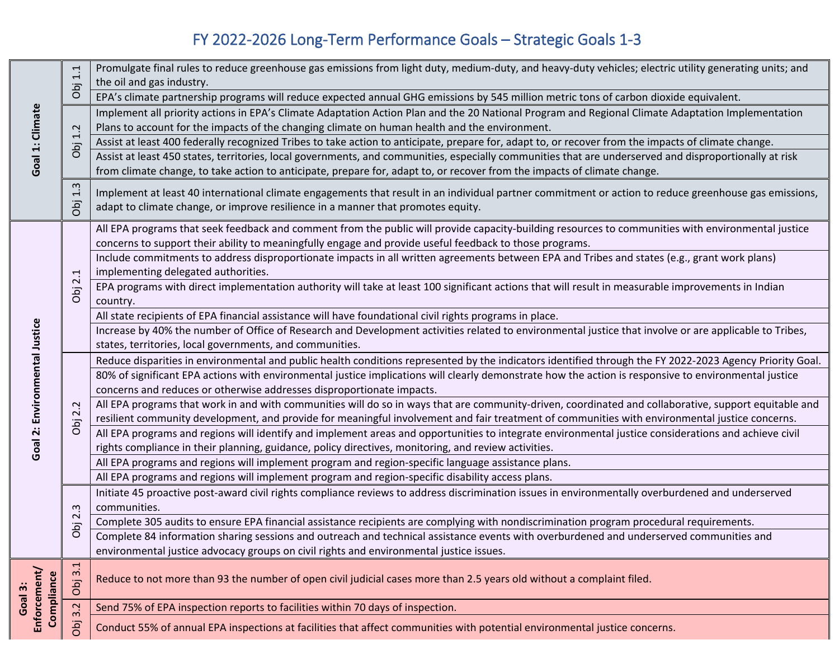# FY 2022-2026 Long-Term Performance Goals – Strategic Goals 1-3

| Goal 1: Climate                       | 1.1<br>Obj                                           | Promulgate final rules to reduce greenhouse gas emissions from light duty, medium-duty, and heavy-duty vehicles; electric utility generating units; and<br>the oil and gas industry.                                                                                                                    |
|---------------------------------------|------------------------------------------------------|---------------------------------------------------------------------------------------------------------------------------------------------------------------------------------------------------------------------------------------------------------------------------------------------------------|
|                                       |                                                      | EPA's climate partnership programs will reduce expected annual GHG emissions by 545 million metric tons of carbon dioxide equivalent.                                                                                                                                                                   |
|                                       | $\mathbf{v}$<br>$\overline{\phantom{0}}$<br>Obj      | Implement all priority actions in EPA's Climate Adaptation Action Plan and the 20 National Program and Regional Climate Adaptation Implementation<br>Plans to account for the impacts of the changing climate on human health and the environment.                                                      |
|                                       |                                                      | Assist at least 400 federally recognized Tribes to take action to anticipate, prepare for, adapt to, or recover from the impacts of climate change.                                                                                                                                                     |
|                                       |                                                      | Assist at least 450 states, territories, local governments, and communities, especially communities that are underserved and disproportionally at risk<br>from climate change, to take action to anticipate, prepare for, adapt to, or recover from the impacts of climate change.                      |
|                                       | S<br>$\div$<br>jap                                   | Implement at least 40 international climate engagements that result in an individual partner commitment or action to reduce greenhouse gas emissions,<br>adapt to climate change, or improve resilience in a manner that promotes equity.                                                               |
|                                       | $\overline{\phantom{0}}$<br>$\mathbf{\Omega}$<br>ööj | All EPA programs that seek feedback and comment from the public will provide capacity-building resources to communities with environmental justice<br>concerns to support their ability to meaningfully engage and provide useful feedback to those programs.                                           |
|                                       |                                                      | Include commitments to address disproportionate impacts in all written agreements between EPA and Tribes and states (e.g., grant work plans)<br>implementing delegated authorities.                                                                                                                     |
|                                       |                                                      | EPA programs with direct implementation authority will take at least 100 significant actions that will result in measurable improvements in Indian<br>country.                                                                                                                                          |
|                                       |                                                      | All state recipients of EPA financial assistance will have foundational civil rights programs in place.                                                                                                                                                                                                 |
|                                       |                                                      | Increase by 40% the number of Office of Research and Development activities related to environmental justice that involve or are applicable to Tribes,<br>states, territories, local governments, and communities.                                                                                      |
|                                       |                                                      | Reduce disparities in environmental and public health conditions represented by the indicators identified through the FY 2022-2023 Agency Priority Goal.                                                                                                                                                |
| Goal 2: Environmental Justice         | $\mathbf 2$<br>$\sim$<br>Obj                         | 80% of significant EPA actions with environmental justice implications will clearly demonstrate how the action is responsive to environmental justice<br>concerns and reduces or otherwise addresses disproportionate impacts.                                                                          |
|                                       |                                                      | All EPA programs that work in and with communities will do so in ways that are community-driven, coordinated and collaborative, support equitable and<br>resilient community development, and provide for meaningful involvement and fair treatment of communities with environmental justice concerns. |
|                                       |                                                      | All EPA programs and regions will identify and implement areas and opportunities to integrate environmental justice considerations and achieve civil<br>rights compliance in their planning, guidance, policy directives, monitoring, and review activities.                                            |
|                                       |                                                      | All EPA programs and regions will implement program and region-specific language assistance plans.                                                                                                                                                                                                      |
|                                       |                                                      | All EPA programs and regions will implement program and region-specific disability access plans.                                                                                                                                                                                                        |
|                                       | S<br>$\mathbf{\sim}$<br>Jap                          | Initiate 45 proactive post-award civil rights compliance reviews to address discrimination issues in environmentally overburdened and underserved<br>communities.                                                                                                                                       |
|                                       |                                                      | Complete 305 audits to ensure EPA financial assistance recipients are complying with nondiscrimination program procedural requirements.                                                                                                                                                                 |
|                                       |                                                      | Complete 84 information sharing sessions and outreach and technical assistance events with overburdened and underserved communities and<br>environmental justice advocacy groups on civil rights and environmental justice issues.                                                                      |
|                                       |                                                      |                                                                                                                                                                                                                                                                                                         |
| Enforcement/<br>Compliance<br>Goal 3: | 3.1<br>Obj                                           | Reduce to not more than 93 the number of open civil judicial cases more than 2.5 years old without a complaint filed.                                                                                                                                                                                   |
|                                       | Ņ<br>$\overline{m}$                                  | Send 75% of EPA inspection reports to facilities within 70 days of inspection.                                                                                                                                                                                                                          |
|                                       | jqO                                                  | Conduct 55% of annual EPA inspections at facilities that affect communities with potential environmental justice concerns.                                                                                                                                                                              |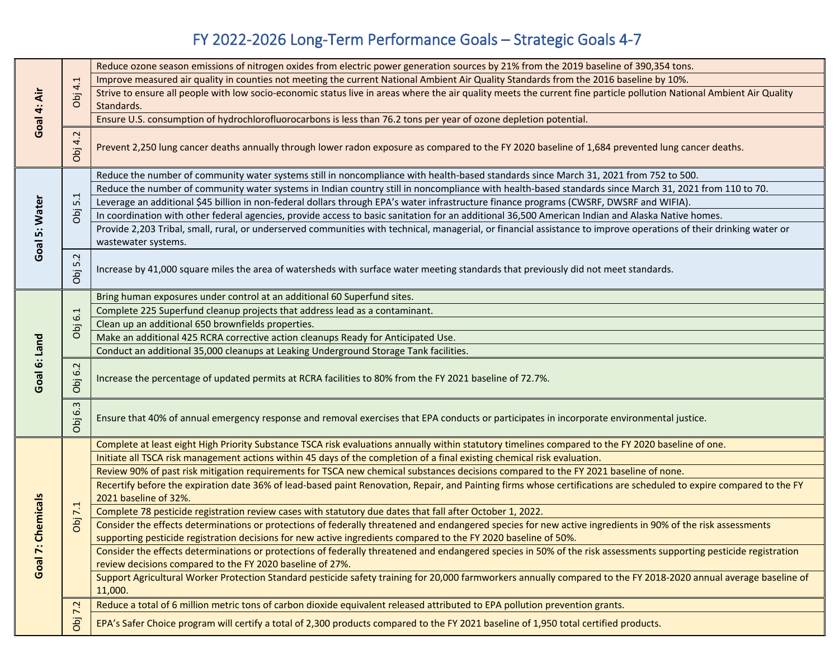## FY 2022-2026 Long-Term Performance Goals – Strategic Goals 4-7

| Goal 4: Air   |                                            | Reduce ozone season emissions of nitrogen oxides from electric power generation sources by 21% from the 2019 baseline of 390,354 tons.                                                                                          |
|---------------|--------------------------------------------|---------------------------------------------------------------------------------------------------------------------------------------------------------------------------------------------------------------------------------|
|               |                                            | Improve measured air quality in counties not meeting the current National Ambient Air Quality Standards from the 2016 baseline by 10%.                                                                                          |
|               | Obj 4.1                                    | Strive to ensure all people with low socio-economic status live in areas where the air quality meets the current fine particle pollution National Ambient Air Quality                                                           |
|               |                                            | Standards.                                                                                                                                                                                                                      |
|               |                                            | Ensure U.S. consumption of hydrochlorofluorocarbons is less than 76.2 tons per year of ozone depletion potential.                                                                                                               |
|               | 4.2                                        |                                                                                                                                                                                                                                 |
|               | jqo                                        | Prevent 2,250 lung cancer deaths annually through lower radon exposure as compared to the FY 2020 baseline of 1,684 prevented lung cancer deaths.                                                                               |
| Goal 5: Water | H<br>S<br>Öbj                              | Reduce the number of community water systems still in noncompliance with health-based standards since March 31, 2021 from 752 to 500.                                                                                           |
|               |                                            | Reduce the number of community water systems in Indian country still in noncompliance with health-based standards since March 31, 2021 from 110 to 70.                                                                          |
|               |                                            | Leverage an additional \$45 billion in non-federal dollars through EPA's water infrastructure finance programs (CWSRF, DWSRF and WIFIA).                                                                                        |
|               |                                            | In coordination with other federal agencies, provide access to basic sanitation for an additional 36,500 American Indian and Alaska Native homes.                                                                               |
|               |                                            | Provide 2,203 Tribal, small, rural, or underserved communities with technical, managerial, or financial assistance to improve operations of their drinking water or                                                             |
|               |                                            | wastewater systems.                                                                                                                                                                                                             |
|               | $\overline{N}$<br>S<br><u>іа</u><br>O      |                                                                                                                                                                                                                                 |
|               |                                            | Increase by 41,000 square miles the area of watersheds with surface water meeting standards that previously did not meet standards.                                                                                             |
|               |                                            | Bring human exposures under control at an additional 60 Superfund sites.                                                                                                                                                        |
| Goal 6: Land  | 6.1<br>Obj                                 | Complete 225 Superfund cleanup projects that address lead as a contaminant.                                                                                                                                                     |
|               |                                            | Clean up an additional 650 brownfields properties.                                                                                                                                                                              |
|               |                                            | Make an additional 425 RCRA corrective action cleanups Ready for Anticipated Use.                                                                                                                                               |
|               |                                            | Conduct an additional 35,000 cleanups at Leaking Underground Storage Tank facilities.                                                                                                                                           |
|               | 6.2<br>Obj                                 | Increase the percentage of updated permits at RCRA facilities to 80% from the FY 2021 baseline of 72.7%.                                                                                                                        |
|               | $\omega$                                   |                                                                                                                                                                                                                                 |
|               | ق<br>Obj                                   | Ensure that 40% of annual emergency response and removal exercises that EPA conducts or participates in incorporate environmental justice.                                                                                      |
|               |                                            |                                                                                                                                                                                                                                 |
|               | 른<br>$\overline{ }$<br>Obj                 | Complete at least eight High Priority Substance TSCA risk evaluations annually within statutory timelines compared to the FY 2020 baseline of one.                                                                              |
|               |                                            | Initiate all TSCA risk management actions within 45 days of the completion of a final existing chemical risk evaluation.                                                                                                        |
|               |                                            | Review 90% of past risk mitigation requirements for TSCA new chemical substances decisions compared to the FY 2021 baseline of none.                                                                                            |
|               |                                            | Recertify before the expiration date 36% of lead-based paint Renovation, Repair, and Painting firms whose certifications are scheduled to expire compared to the FY                                                             |
| emicals       |                                            | 2021 baseline of 32%.                                                                                                                                                                                                           |
|               |                                            | Complete 78 pesticide registration review cases with statutory due dates that fall after October 1, 2022.                                                                                                                       |
|               |                                            | Consider the effects determinations or protections of federally threatened and endangered species for new active ingredients in 90% of the risk assessments                                                                     |
| ō             |                                            | supporting pesticide registration decisions for new active ingredients compared to the FY 2020 baseline of 50%.                                                                                                                 |
| Goal 7:       |                                            | Consider the effects determinations or protections of federally threatened and endangered species in 50% of the risk assessments supporting pesticide registration<br>review decisions compared to the FY 2020 baseline of 27%. |
|               |                                            | Support Agricultural Worker Protection Standard pesticide safety training for 20,000 farmworkers annually compared to the FY 2018-2020 annual average baseline of                                                               |
|               |                                            | 11,000.                                                                                                                                                                                                                         |
|               | $\dot{\mathsf{c}}$<br>$\overline{ }$<br>Бä | Reduce a total of 6 million metric tons of carbon dioxide equivalent released attributed to EPA pollution prevention grants.                                                                                                    |
|               |                                            | EPA's Safer Choice program will certify a total of 2,300 products compared to the FY 2021 baseline of 1,950 total certified products.                                                                                           |